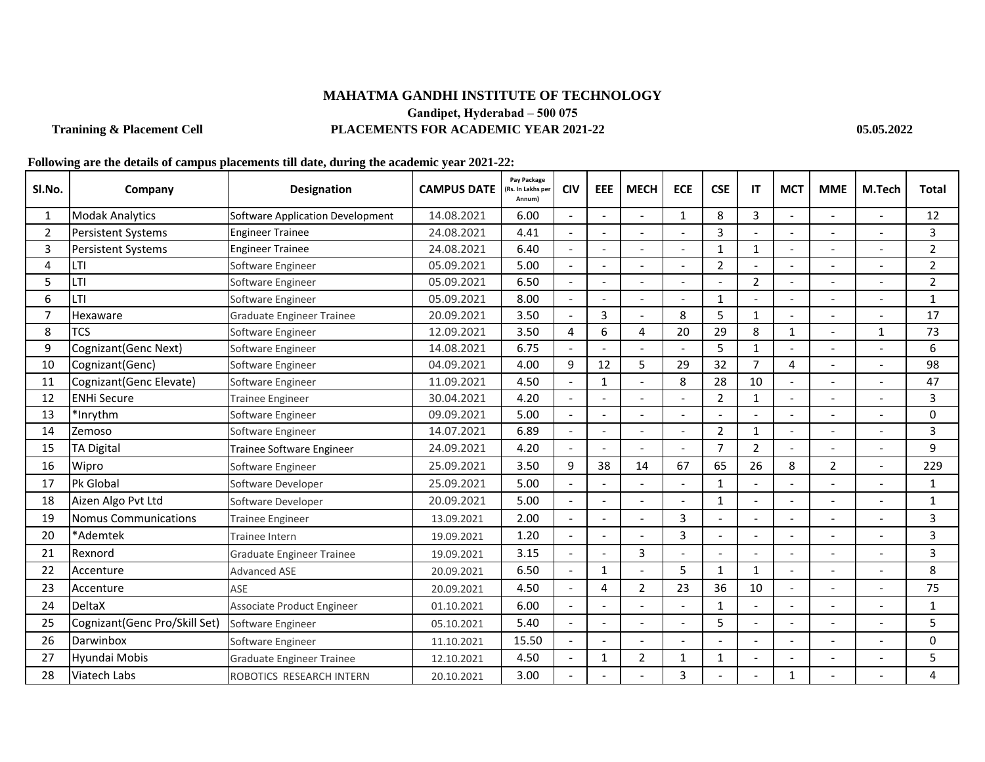## **MAHATMA GANDHI INSTITUTE OF TECHNOLOGY Gandipet, Hyderabad – 500 075 Tranining & Placement Cell PLACEMENTS FOR ACADEMIC YEAR 2021-22 05.05.2022**

## **Following are the details of campus placements till date, during the academic year 2021-22:**

| SI.No. | Company                       | <b>Designation</b>               | <b>CAMPUS DATE</b> | Pay Package<br>(Rs. In Lakhs per<br>Annum) | <b>CIV</b>     | <b>EEE</b>               | <b>MECH</b>    | <b>ECE</b>     | <b>CSE</b>     | IT             | <b>MCT</b>     | <b>MME</b>     | M.Tech | <b>Total</b>   |
|--------|-------------------------------|----------------------------------|--------------------|--------------------------------------------|----------------|--------------------------|----------------|----------------|----------------|----------------|----------------|----------------|--------|----------------|
| -1     | <b>Modak Analytics</b>        | Software Application Development | 14.08.2021         | 6.00                                       |                | $\sim$                   |                | 1              | 8              | 3              | L,             |                |        | 12             |
| 2      | <b>Persistent Systems</b>     | <b>Engineer Trainee</b>          | 24.08.2021         | 4.41                                       |                |                          |                |                | $\overline{3}$ |                |                |                |        | 3              |
| 3      | <b>Persistent Systems</b>     | <b>Engineer Trainee</b>          | 24.08.2021         | 6.40                                       |                |                          |                |                | $\mathbf{1}$   | $\mathbf 1$    |                |                |        | $\overline{2}$ |
| 4      | LTI                           | Software Engineer                | 05.09.2021         | 5.00                                       |                |                          |                |                | $\overline{2}$ |                |                |                |        | $\overline{2}$ |
| 5      | LTI                           | Software Engineer                | 05.09.2021         | 6.50                                       |                |                          |                |                |                | $\overline{2}$ |                |                |        | $\overline{2}$ |
| 6      | <b>LTI</b>                    | Software Engineer                | 05.09.2021         | 8.00                                       | $\overline{a}$ | $\overline{a}$           | $\overline{a}$ |                | $\mathbf{1}$   |                | $\overline{a}$ |                |        | $\mathbf{1}$   |
| 7      | Hexaware                      | <b>Graduate Engineer Trainee</b> | 20.09.2021         | 3.50                                       |                | 3                        |                | 8              | 5              | $\mathbf{1}$   |                |                |        | 17             |
| 8      | <b>TCS</b>                    | Software Engineer                | 12.09.2021         | 3.50                                       | $\overline{a}$ | 6                        | 4              | 20             | 29             | 8              | $\mathbf{1}$   |                | 1      | 73             |
| 9      | Cognizant(Genc Next)          | Software Engineer                | 14.08.2021         | 6.75                                       |                |                          |                |                | 5              | $\mathbf{1}$   |                |                |        | 6              |
| 10     | Cognizant(Genc)               | Software Engineer                | 04.09.2021         | 4.00                                       | 9              | 12                       | 5              | 29             | 32             | $\overline{7}$ | $\overline{4}$ |                |        | 98             |
| 11     | Cognizant(Genc Elevate)       | Software Engineer                | 11.09.2021         | 4.50                                       |                | 1                        |                | 8              | 28             | 10             |                |                |        | 47             |
| 12     | <b>ENHi Secure</b>            | <b>Trainee Engineer</b>          | 30.04.2021         | 4.20                                       |                |                          |                |                | $\overline{2}$ | $\mathbf{1}$   |                |                |        | 3              |
| 13     | *Inrythm                      | Software Engineer                | 09.09.2021         | 5.00                                       |                | $\overline{\phantom{a}}$ |                |                |                |                | $\overline{a}$ |                |        | $\Omega$       |
| 14     | Zemoso                        | Software Engineer                | 14.07.2021         | 6.89                                       |                |                          |                |                | $\overline{2}$ | $\mathbf{1}$   |                |                |        | 3              |
| 15     | <b>TA Digital</b>             | Trainee Software Engineer        | 24.09.2021         | 4.20                                       |                | $\overline{\phantom{a}}$ |                |                | 7              | $\overline{2}$ |                |                |        | 9              |
| 16     | Wipro                         | Software Engineer                | 25.09.2021         | 3.50                                       | 9              | 38                       | 14             | 67             | 65             | 26             | 8              | $\overline{2}$ |        | 229            |
| 17     | Pk Global                     | Software Developer               | 25.09.2021         | 5.00                                       |                |                          |                |                | 1              |                |                |                |        | 1              |
| 18     | Aizen Algo Pvt Ltd            | Software Developer               | 20.09.2021         | 5.00                                       |                |                          |                |                | $\mathbf{1}$   |                |                |                |        | $\mathbf{1}$   |
| 19     | Nomus Communications          | <b>Trainee Engineer</b>          | 13.09.2021         | 2.00                                       |                |                          |                | 3              |                |                |                |                |        | 3              |
| 20     | *Ademtek                      | Trainee Intern                   | 19.09.2021         | 1.20                                       |                |                          |                | $\overline{3}$ |                |                |                |                |        | 3              |
| 21     | Rexnord                       | <b>Graduate Engineer Trainee</b> | 19.09.2021         | 3.15                                       |                |                          | $\overline{3}$ |                |                |                |                |                |        | $\overline{3}$ |
| 22     | Accenture                     | <b>Advanced ASE</b>              | 20.09.2021         | 6.50                                       |                | 1                        |                | 5              | 1              | 1              |                |                |        | 8              |
| 23     | Accenture                     | ASE                              | 20.09.2021         | 4.50                                       |                | 4                        | $\overline{2}$ | 23             | 36             | 10             |                |                |        | 75             |
| 24     | <b>DeltaX</b>                 | Associate Product Engineer       | 01.10.2021         | 6.00                                       |                |                          |                |                | -1             |                |                |                |        | 1              |
| 25     | Cognizant(Genc Pro/Skill Set) | Software Engineer                | 05.10.2021         | 5.40                                       |                |                          |                |                | 5              |                |                |                |        | 5              |
| 26     | Darwinbox                     | Software Engineer                | 11.10.2021         | 15.50                                      |                |                          |                |                |                |                |                |                |        | $\Omega$       |
| 27     | Hyundai Mobis                 | <b>Graduate Engineer Trainee</b> | 12.10.2021         | 4.50                                       |                | $\mathbf 1$              | $\overline{2}$ | 1              | 1              |                |                |                |        | 5              |
| 28     | Viatech Labs                  | ROBOTICS RESEARCH INTERN         | 20.10.2021         | 3.00                                       |                |                          |                | 3              |                |                | 1              |                |        | 4              |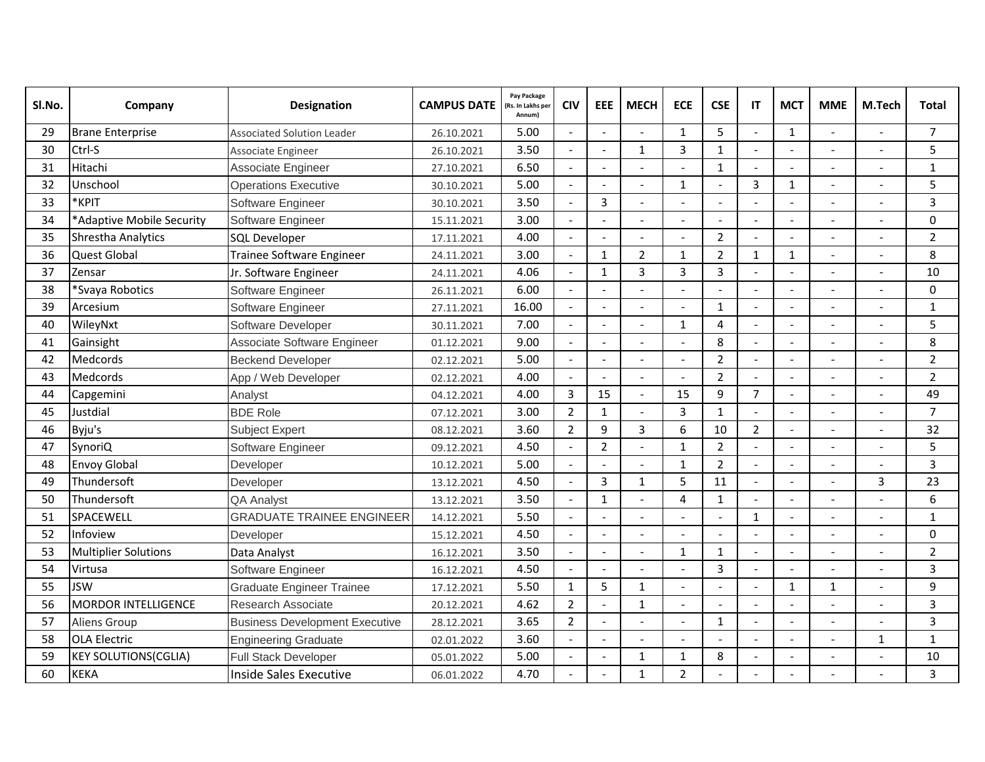| SI.No. | Company                     | <b>Designation</b>                    | <b>CAMPUS DATE</b> | Pay Package<br>(Rs. In Lakhs per<br>Annum) | <b>CIV</b>               | EEE                      | <b>MECH</b>              | <b>ECE</b>     | <b>CSE</b>     | IT                       | <b>MCT</b>               | <b>MME</b>               | M.Tech                   | Total          |
|--------|-----------------------------|---------------------------------------|--------------------|--------------------------------------------|--------------------------|--------------------------|--------------------------|----------------|----------------|--------------------------|--------------------------|--------------------------|--------------------------|----------------|
| 29     | <b>Brane Enterprise</b>     | <b>Associated Solution Leader</b>     | 26.10.2021         | 5.00                                       |                          | $\overline{a}$           |                          | $\mathbf{1}$   | 5              | $\overline{a}$           | $\mathbf{1}$             |                          |                          | $\overline{7}$ |
| 30     | Ctrl-S                      | Associate Engineer                    | 26.10.2021         | 3.50                                       |                          | $\overline{a}$           | $\mathbf{1}$             | 3              | $\mathbf{1}$   | $\overline{a}$           | $\overline{a}$           |                          |                          | 5              |
| 31     | Hitachi                     | Associate Engineer                    | 27.10.2021         | 6.50                                       |                          |                          |                          |                | $\mathbf{1}$   |                          |                          |                          |                          | $\mathbf{1}$   |
| 32     | Unschool                    | <b>Operations Executive</b>           | 30.10.2021         | 5.00                                       | $\blacksquare$           | $\overline{\phantom{a}}$ | $\blacksquare$           | $\mathbf{1}$   | $\overline{a}$ | 3                        | $\mathbf{1}$             | $\overline{\phantom{a}}$ |                          | 5              |
| 33     | *KPIT                       | Software Engineer                     | 30.10.2021         | 3.50                                       |                          | $\overline{3}$           |                          |                |                |                          |                          |                          |                          | 3              |
| 34     | *Adaptive Mobile Security   | Software Engineer                     | 15.11.2021         | 3.00                                       |                          | $\overline{a}$           | $\overline{a}$           |                |                |                          |                          |                          |                          | $\Omega$       |
| 35     | <b>Shrestha Analytics</b>   | <b>SQL Developer</b>                  | 17.11.2021         | 4.00                                       |                          | $\overline{\phantom{a}}$ | $\overline{a}$           | L.             | $\overline{2}$ | $\overline{a}$           | $\mathbf{r}$             |                          |                          | $\overline{2}$ |
| 36     | <b>Quest Global</b>         | Trainee Software Engineer             | 24.11.2021         | 3.00                                       |                          | $\mathbf{1}$             | $\overline{2}$           | $\mathbf{1}$   | $\overline{2}$ | $\mathbf{1}$             | $\mathbf{1}$             |                          |                          | 8              |
| 37     | Zensar                      | Jr. Software Engineer                 | 24.11.2021         | 4.06                                       |                          | $\mathbf{1}$             | $\overline{\mathbf{3}}$  | 3              | $\overline{3}$ |                          | $\overline{a}$           |                          |                          | 10             |
| 38     | *Svaya Robotics             | Software Engineer                     | 26.11.2021         | 6.00                                       |                          | $\overline{a}$           |                          |                |                |                          | $\overline{a}$           |                          |                          | 0              |
| 39     | Arcesium                    | Software Engineer                     | 27.11.2021         | 16.00                                      |                          |                          |                          |                | $\mathbf{1}$   |                          |                          |                          |                          | $\mathbf{1}$   |
| 40     | WileyNxt                    | Software Developer                    | 30.11.2021         | 7.00                                       |                          | $\overline{a}$           | $\overline{a}$           | $\mathbf{1}$   | 4              | $\overline{a}$           | $\blacksquare$           |                          | $\overline{a}$           | 5              |
| 41     | Gainsight                   | Associate Software Engineer           | 01.12.2021         | 9.00                                       |                          | $\overline{a}$           |                          |                | 8              |                          | $\overline{a}$           |                          |                          | 8              |
| 42     | <b>Medcords</b>             | <b>Beckend Developer</b>              | 02.12.2021         | 5.00                                       |                          | $\blacksquare$           |                          |                | $\overline{2}$ |                          |                          |                          |                          | $\overline{2}$ |
| 43     | Medcords                    | App / Web Developer                   | 02.12.2021         | 4.00                                       | $\overline{\phantom{a}}$ | $\overline{\phantom{a}}$ | $\overline{a}$           |                | $\overline{2}$ | $\overline{a}$           | $\overline{a}$           |                          | $\overline{a}$           | $\overline{2}$ |
| 44     | Capgemini                   | Analyst                               | 04.12.2021         | 4.00                                       | $\overline{3}$           | 15                       | $\overline{a}$           | 15             | 9              | $\overline{7}$           |                          |                          |                          | 49             |
| 45     | Justdial                    | <b>BDE Role</b>                       | 07.12.2021         | 3.00                                       | $\overline{2}$           | $\mathbf{1}$             | $\overline{\phantom{a}}$ | 3              | $\mathbf{1}$   | $\overline{a}$           | $\overline{\phantom{a}}$ | $\overline{\phantom{a}}$ | $\overline{\phantom{a}}$ | $\overline{7}$ |
| 46     | Byju's                      | <b>Subject Expert</b>                 | 08.12.2021         | 3.60                                       | $\overline{2}$           | 9                        | $\overline{3}$           | 6              | 10             | $\overline{2}$           | $\overline{a}$           |                          |                          | 32             |
| 47     | SynoriQ                     | Software Engineer                     | 09.12.2021         | 4.50                                       |                          | $\overline{2}$           |                          | $\mathbf{1}$   | $\overline{2}$ |                          |                          |                          |                          | 5              |
| 48     | <b>Envoy Global</b>         | Developer                             | 10.12.2021         | 5.00                                       |                          | $\frac{1}{2}$            | $\overline{a}$           | $\mathbf{1}$   | $\overline{2}$ | $\overline{a}$           | $\overline{a}$           |                          | $\blacksquare$           | 3              |
| 49     | Thundersoft                 | Developer                             | 13.12.2021         | 4.50                                       | $\overline{a}$           | $\overline{3}$           | $\mathbf{1}$             | 5              | 11             | $\overline{a}$           | $\overline{a}$           |                          | 3                        | 23             |
| 50     | Thundersoft                 | QA Analyst                            | 13.12.2021         | 3.50                                       |                          | $\mathbf{1}$             | $\overline{\phantom{a}}$ | 4              | $\mathbf{1}$   | $\overline{\phantom{a}}$ | $\overline{a}$           |                          |                          | 6              |
| 51     | SPACEWELL                   | <b>GRADUATE TRAINEE ENGINEER</b>      | 14.12.2021         | 5.50                                       |                          | $\overline{a}$           | $\overline{a}$           |                | $\overline{a}$ | $\mathbf{1}$             | $\overline{a}$           |                          |                          | $\mathbf{1}$   |
| 52     | Infoview                    | Developer                             | 15.12.2021         | 4.50                                       |                          |                          |                          |                |                |                          |                          |                          |                          | 0              |
| 53     | <b>Multiplier Solutions</b> | Data Analyst                          | 16.12.2021         | 3.50                                       |                          | $\overline{\phantom{a}}$ | $\overline{a}$           | $\mathbf{1}$   | $\mathbf{1}$   | $\sim$                   | $\overline{a}$           | $\overline{\phantom{a}}$ | $\overline{a}$           | $\overline{2}$ |
| 54     | Virtusa                     | Software Engineer                     | 16.12.2021         | 4.50                                       |                          | $\overline{a}$           |                          |                | 3              |                          | $\overline{a}$           |                          |                          | 3              |
| 55     | <b>JSW</b>                  | <b>Graduate Engineer Trainee</b>      | 17.12.2021         | 5.50                                       | 1                        | 5                        | 1                        |                |                |                          | 1                        | 1                        | $\overline{a}$           | 9              |
| 56     | <b>MORDOR INTELLIGENCE</b>  | Research Associate                    | 20.12.2021         | 4.62                                       | $\overline{2}$           | $\overline{a}$           | $\mathbf{1}$             |                |                | $\overline{a}$           | $\overline{a}$           |                          | $\overline{a}$           | 3              |
| 57     | <b>Aliens Group</b>         | <b>Business Development Executive</b> | 28.12.2021         | 3.65                                       | $\overline{2}$           | $\overline{a}$           |                          |                | $\mathbf{1}$   |                          | $\overline{a}$           |                          |                          | 3              |
| 58     | <b>OLA Electric</b>         | <b>Engineering Graduate</b>           | 02.01.2022         | 3.60                                       |                          | $\overline{a}$           | $\overline{a}$           | $\blacksquare$ | $\overline{a}$ |                          | $\overline{\phantom{a}}$ |                          | $\mathbf{1}$             | $\mathbf{1}$   |
| 59     | <b>KEY SOLUTIONS(CGLIA)</b> | <b>Full Stack Developer</b>           | 05.01.2022         | 5.00                                       |                          | $\overline{a}$           | $\mathbf{1}$             | $\mathbf{1}$   | 8              |                          | $\overline{a}$           |                          |                          | 10             |
| 60     | <b>KEKA</b>                 | Inside Sales Executive                | 06.01.2022         | 4.70                                       |                          |                          | $\mathbf{1}$             | $\overline{2}$ |                |                          |                          |                          |                          | 3              |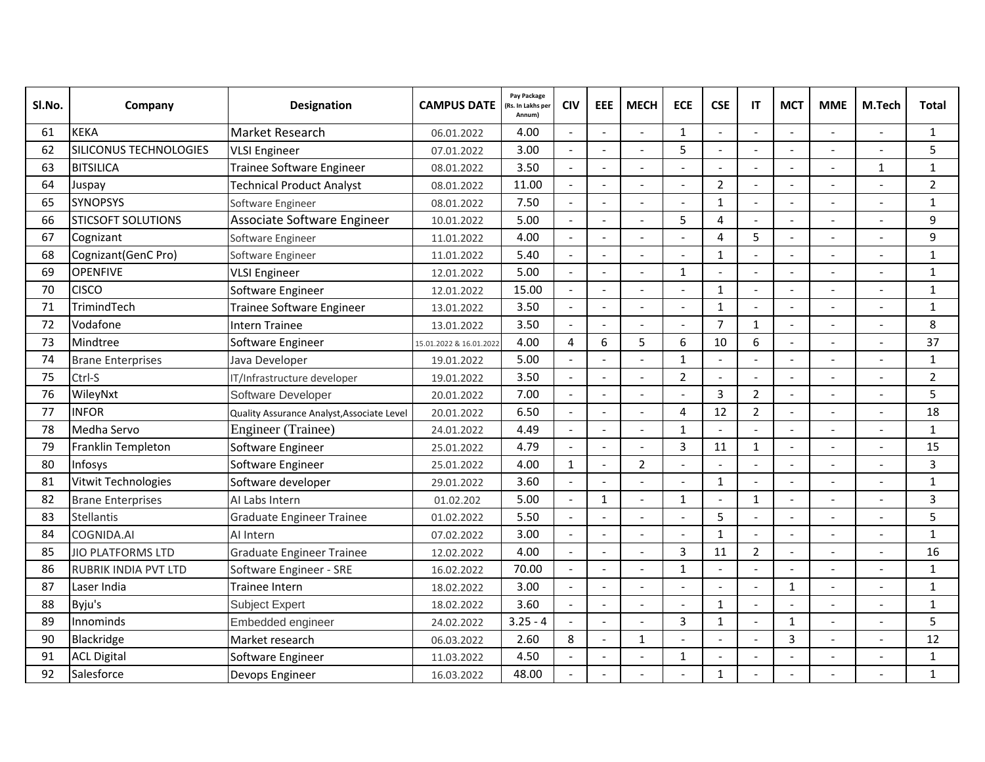| SI.No. | Company                     | <b>Designation</b>                         | <b>CAMPUS DATE</b>      | Pay Package<br>(Rs. In Lakhs per<br>Annum) | <b>CIV</b>               | EEE                      | <b>MECH</b>    | <b>ECE</b>     | <b>CSE</b>     | IT             | <b>MCT</b>               | <b>MME</b>     | M.Tech                   | Total          |
|--------|-----------------------------|--------------------------------------------|-------------------------|--------------------------------------------|--------------------------|--------------------------|----------------|----------------|----------------|----------------|--------------------------|----------------|--------------------------|----------------|
| 61     | <b>KEKA</b>                 | Market Research                            | 06.01.2022              | 4.00                                       |                          | $\overline{a}$           |                | 1              |                | $\overline{a}$ |                          |                |                          | $\mathbf{1}$   |
| 62     | SILICONUS TECHNOLOGIES      | <b>VLSI Engineer</b>                       | 07.01.2022              | 3.00                                       |                          | $\overline{a}$           |                | 5              |                | $\sim$         |                          |                |                          | 5              |
| 63     | <b>BITSILICA</b>            | Trainee Software Engineer                  | 08.01.2022              | 3.50                                       |                          |                          |                |                |                |                |                          |                | $\mathbf{1}$             | $\mathbf{1}$   |
| 64     | Juspay                      | <b>Technical Product Analyst</b>           | 08.01.2022              | 11.00                                      | $\overline{a}$           | $\blacksquare$           | $\overline{a}$ |                | $\overline{2}$ | $\overline{a}$ | $\blacksquare$           |                |                          | $\overline{2}$ |
| 65     | <b>SYNOPSYS</b>             | Software Engineer                          | 08.01.2022              | 7.50                                       |                          |                          |                |                | $\mathbf{1}$   |                |                          |                |                          | 1              |
| 66     | <b>STICSOFT SOLUTIONS</b>   | Associate Software Engineer                | 10.01.2022              | 5.00                                       |                          | $\overline{a}$           |                | 5              | 4              | $\sim$         |                          |                | $\overline{a}$           | 9              |
| 67     | Cognizant                   | Software Engineer                          | 11.01.2022              | 4.00                                       |                          | $\blacksquare$           | $\overline{a}$ |                | 4              | 5              | $\overline{a}$           |                |                          | 9              |
| 68     | Cognizant(GenC Pro)         | Software Engineer                          | 11.01.2022              | 5.40                                       |                          | $\overline{a}$           |                |                | $\mathbf{1}$   |                |                          |                |                          | $\mathbf{1}$   |
| 69     | <b>OPENFIVE</b>             | <b>VLSI Engineer</b>                       | 12.01.2022              | 5.00                                       |                          |                          |                | $\mathbf{1}$   |                |                |                          |                |                          | $\mathbf{1}$   |
| 70     | <b>CISCO</b>                | Software Engineer                          | 12.01.2022              | 15.00                                      |                          | $\overline{a}$           |                |                | $\mathbf{1}$   | $\sim$         | $\overline{a}$           |                |                          | $\mathbf{1}$   |
| 71     | TrimindTech                 | Trainee Software Engineer                  | 13.01.2022              | 3.50                                       |                          | $\overline{a}$           |                |                | $\mathbf{1}$   | $\overline{a}$ |                          |                |                          | $\mathbf{1}$   |
| 72     | Vodafone                    | Intern Trainee                             | 13.01.2022              | 3.50                                       |                          | $\overline{\phantom{a}}$ | $\overline{a}$ |                | $\overline{7}$ | $\mathbf{1}$   | $\blacksquare$           |                |                          | 8              |
| 73     | Mindtree                    | Software Engineer                          | 15.01.2022 & 16.01.2022 | 4.00                                       | 4                        | 6                        | 5              | 6              | 10             | 6              |                          |                |                          | 37             |
| 74     | <b>Brane Enterprises</b>    | Java Developer                             | 19.01.2022              | 5.00                                       |                          |                          |                | $\mathbf{1}$   |                |                |                          |                |                          | $\mathbf{1}$   |
| 75     | Ctrl-S                      | IT/Infrastructure developer                | 19.01.2022              | 3.50                                       |                          | $\blacksquare$           | $\overline{a}$ | $\overline{2}$ |                | $\sim$         | $\overline{a}$           |                | $\overline{a}$           | $\overline{2}$ |
| 76     | WileyNxt                    | Software Developer                         | 20.01.2022              | 7.00                                       |                          |                          |                |                | 3              | $\overline{2}$ |                          |                |                          | 5              |
| 77     | <b>INFOR</b>                | Quality Assurance Analyst, Associate Level | 20.01.2022              | 6.50                                       | $\overline{\phantom{a}}$ | $\Box$                   | $\overline{a}$ | 4              | 12             | $\overline{2}$ | $\overline{\phantom{a}}$ | $\blacksquare$ | $\overline{\phantom{a}}$ | 18             |
| 78     | Medha Servo                 | <b>Engineer</b> (Trainee)                  | 24.01.2022              | 4.49                                       |                          | $\overline{a}$           |                | $\mathbf{1}$   |                |                |                          |                |                          | $\mathbf{1}$   |
| 79     | Franklin Templeton          | Software Engineer                          | 25.01.2022              | 4.79                                       |                          | L.                       |                | 3              | 11             | $\mathbf{1}$   |                          |                |                          | 15             |
| 80     | Infosys                     | Software Engineer                          | 25.01.2022              | 4.00                                       | $\mathbf{1}$             | $\overline{a}$           | $\overline{2}$ |                |                | $\overline{a}$ | $\blacksquare$           |                |                          | 3              |
| 81     | Vitwit Technologies         | Software developer                         | 29.01.2022              | 3.60                                       |                          | $\overline{a}$           |                |                | $\mathbf{1}$   | $\sim$         | $\overline{a}$           |                |                          | $\mathbf{1}$   |
| 82     | <b>Brane Enterprises</b>    | Al Labs Intern                             | 01.02.202               | 5.00                                       |                          | $\mathbf{1}$             | $\sim$         | 1              | L.             | $\mathbf{1}$   | $\overline{a}$           |                |                          | 3              |
| 83     | <b>Stellantis</b>           | <b>Graduate Engineer Trainee</b>           | 01.02.2022              | 5.50                                       |                          | $\overline{a}$           |                |                | 5              | $\overline{a}$ | $\overline{a}$           |                |                          | 5              |
| 84     | COGNIDA.AI                  | Al Intern                                  | 07.02.2022              | 3.00                                       |                          |                          |                |                | $\mathbf{1}$   |                |                          |                |                          | $\mathbf{1}$   |
| 85     | <b>JIO PLATFORMS LTD</b>    | <b>Graduate Engineer Trainee</b>           | 12.02.2022              | 4.00                                       |                          | $\overline{\phantom{a}}$ | $\blacksquare$ | 3              | 11             | $\overline{2}$ | $\blacksquare$           |                | $\overline{a}$           | 16             |
| 86     | <b>RUBRIK INDIA PVT LTD</b> | Software Engineer - SRE                    | 16.02.2022              | 70.00                                      |                          | $\overline{a}$           |                | $\mathbf{1}$   |                |                |                          |                |                          | $\mathbf{1}$   |
| 87     | Laser India                 | Trainee Intern                             | 18.02.2022              | 3.00                                       |                          | $\overline{a}$           |                |                |                | $\sim$         | 1                        |                |                          | 1              |
| 88     | Byju's                      | <b>Subject Expert</b>                      | 18.02.2022              | 3.60                                       |                          | $\overline{a}$           | $\overline{a}$ |                | $\mathbf{1}$   | $\overline{a}$ | $\overline{a}$           |                | $\overline{a}$           | $\mathbf{1}$   |
| 89     | Innominds                   | Embedded engineer                          | 24.02.2022              | $3.25 - 4$                                 | L.                       | $\overline{a}$           |                | 3              | $\mathbf{1}$   |                | $\mathbf{1}$             |                |                          | 5              |
| 90     | Blackridge                  | Market research                            | 06.03.2022              | 2.60                                       | 8                        | $\overline{\phantom{a}}$ | 1              |                |                |                | 3                        |                |                          | 12             |
| 91     | <b>ACL Digital</b>          | Software Engineer                          | 11.03.2022              | 4.50                                       |                          | $\overline{a}$           |                | $\mathbf{1}$   |                |                |                          |                |                          | $\mathbf{1}$   |
| 92     | Salesforce                  | Devops Engineer                            | 16.03.2022              | 48.00                                      |                          |                          |                |                | 1              |                |                          |                |                          | $\mathbf{1}$   |